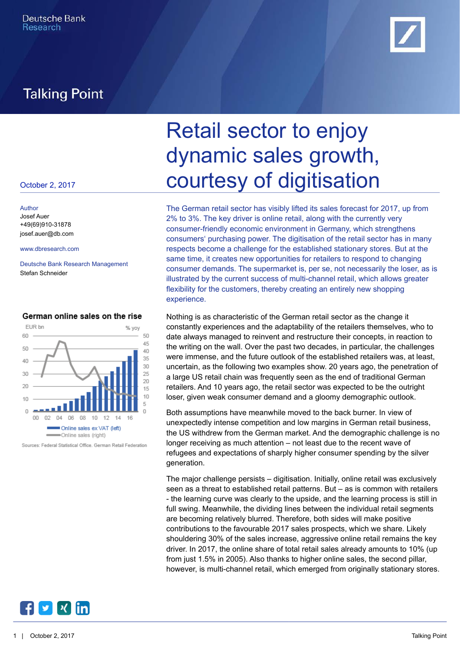## **Talking Point**



# October 2, 2017 **COURTESY of digitisation** Retail sector to enjoy dynamic sales growth,

[www.dbresearch.com](http://www.dbresearch.com) respects become a challenge for the established stationary stores. But at the The German retail sector has visibly lifted its sales forecast for 2017, up from 2% to 3%. The key driver is online retail, along with the currently very consumer-friendly economic environment in Germany, which strengthens consumers' purchasing power. The digitisation of the retail sector has in many same time, it creates new opportunities for retailers to respond to changing consumer demands. The supermarket is, per se, not necessarily the loser, as is illustrated by the current success of multi-channel retail, which allows greater flexibility for the customers, thereby creating an entirely new shopping experience.

> Nothing is as characteristic of the German retail sector as the change it constantly experiences and the adaptability of the retailers themselves, who to date always managed to reinvent and restructure their concepts, in reaction to the writing on the wall. Over the past two decades, in particular, the challenges were immense, and the future outlook of the established retailers was, at least, uncertain, as the following two examples show. 20 years ago, the penetration of a large US retail chain was frequently seen as the end of traditional German retailers. And 10 years ago, the retail sector was expected to be the outright loser, given weak consumer demand and a gloomy demographic outlook.

> Both assumptions have meanwhile moved to the back burner. In view of unexpectedly intense competition and low margins in German retail business, the US withdrew from the German market. And the demographic challenge is no longer receiving as much attention – not least due to the recent wave of refugees and expectations of sharply higher consumer spending by the silver generation.

> The major challenge persists – digitisation. Initially, online retail was exclusively seen as a threat to established retail patterns. But – as is common with retailers - the learning curve was clearly to the upside, and the learning process is still in full swing. Meanwhile, the dividing lines between the individual retail segments are becoming relatively blurred. Therefore, both sides will make positive contributions to the favourable 2017 sales prospects, which we share. Likely shouldering 30% of the sales increase, aggressive online retail remains the key driver. In 2017, the online share of total retail sales already amounts to 10% (up from just 1.5% in 2005). Also thanks to higher online sales, the second pillar, however, is multi-channel retail, which emerged from originally stationary stores.

Author [Josef Auer](mailto:josef.auer@db.com) +49(69)910-31878 [josef.auer@db.com](mailto:josef.auer@db.com)

Deutsche Bank Research Management Stefan Schneider



#### German online sales on the rise

v **X** lin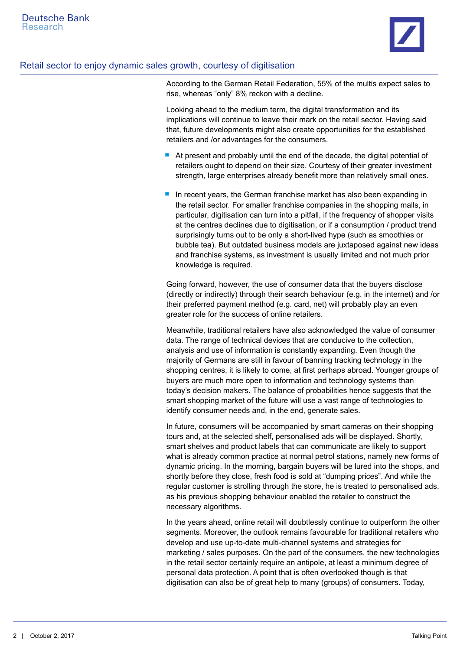

### Retail sector to enjoy dynamic sales growth, courtesy of digitisation

According to the German Retail Federation, 55% of the multis expect sales to rise, whereas "only" 8% reckon with a decline.

Looking ahead to the medium term, the digital transformation and its implications will continue to leave their mark on the retail sector. Having said that, future developments might also create opportunities for the established retailers and /or advantages for the consumers.

- At present and probably until the end of the decade, the digital potential of retailers ought to depend on their size. Courtesy of their greater investment strength, large enterprises already benefit more than relatively small ones.
- In recent years, the German franchise market has also been expanding in the retail sector. For smaller franchise companies in the shopping malls, in particular, digitisation can turn into a pitfall, if the frequency of shopper visits at the centres declines due to digitisation, or if a consumption / product trend surprisingly turns out to be only a short-lived hype (such as smoothies or bubble tea). But outdated business models are juxtaposed against new ideas and franchise systems, as investment is usually limited and not much prior knowledge is required.

Going forward, however, the use of consumer data that the buyers disclose (directly or indirectly) through their search behaviour (e.g. in the internet) and /or their preferred payment method (e.g. card, net) will probably play an even greater role for the success of online retailers.

Meanwhile, traditional retailers have also acknowledged the value of consumer data. The range of technical devices that are conducive to the collection, analysis and use of information is constantly expanding. Even though the majority of Germans are still in favour of banning tracking technology in the shopping centres, it is likely to come, at first perhaps abroad. Younger groups of buyers are much more open to information and technology systems than today's decision makers. The balance of probabilities hence suggests that the smart shopping market of the future will use a vast range of technologies to identify consumer needs and, in the end, generate sales.

In future, consumers will be accompanied by smart cameras on their shopping tours and, at the selected shelf, personalised ads will be displayed. Shortly, smart shelves and product labels that can communicate are likely to support what is already common practice at normal petrol stations, namely new forms of dynamic pricing. In the morning, bargain buyers will be lured into the shops, and shortly before they close, fresh food is sold at "dumping prices". And while the regular customer is strolling through the store, he is treated to personalised ads, as his previous shopping behaviour enabled the retailer to construct the necessary algorithms.

In the years ahead, online retail will doubtlessly continue to outperform the other segments. Moreover, the outlook remains favourable for traditional retailers who develop and use up-to-date multi-channel systems and strategies for marketing / sales purposes. On the part of the consumers, the new technologies in the retail sector certainly require an antipole, at least a minimum degree of personal data protection. A point that is often overlooked though is that digitisation can also be of great help to many (groups) of consumers. Today,